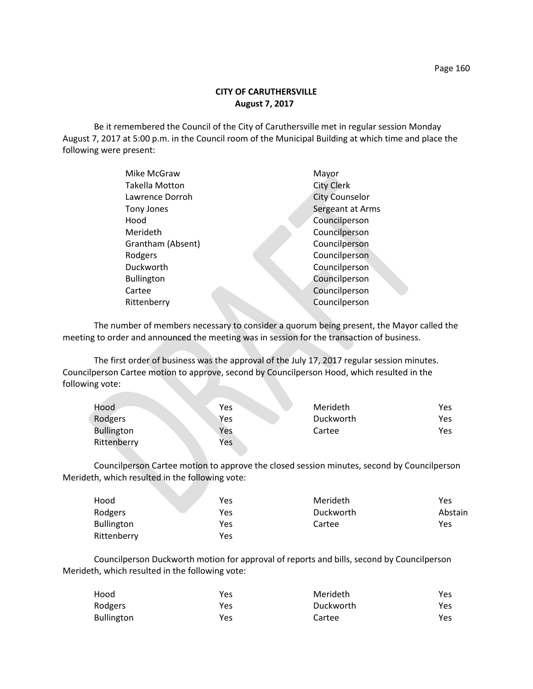# **CITY OF CARUTHERSVILLE August 7, 2017**

Be it remembered the Council of the City of Caruthersville met in regular session Monday August 7, 2017 at 5:00 p.m. in the Council room of the Municipal Building at which time and place the following were present:

| Mike McGraw           | Mayor                 |
|-----------------------|-----------------------|
| <b>Takella Motton</b> | <b>City Clerk</b>     |
| Lawrence Dorroh       | <b>City Counselor</b> |
| Tony Jones            | Sergeant at Arms      |
| Hood                  | Councilperson         |
| Merideth              | Councilperson         |
| Grantham (Absent)     | Councilperson         |
| Rodgers               | Councilperson         |
| Duckworth             | Councilperson         |
| <b>Bullington</b>     | Councilperson         |
| Cartee                | Councilperson         |
| Rittenberry           | Councilperson         |
|                       |                       |

The number of members necessary to consider a quorum being present, the Mayor called the meeting to order and announced the meeting was in session for the transaction of business.

The first order of business was the approval of the July 17, 2017 regular session minutes. Councilperson Cartee motion to approve, second by Councilperson Hood, which resulted in the following vote:

| Hood              | <b>Yes</b> | Merideth  | Yes |
|-------------------|------------|-----------|-----|
| Rodgers           | Yes        | Duckworth | Yes |
| <b>Bullington</b> | Yes        | Cartee    | Yes |
| Rittenberry       | Yes        |           |     |

Councilperson Cartee motion to approve the closed session minutes, second by Councilperson Merideth, which resulted in the following vote:

| Hood              | Yes | Merideth  | Yes     |
|-------------------|-----|-----------|---------|
| Rodgers           | Yes | Duckworth | Abstain |
| <b>Bullington</b> | Yes | Cartee    | Yes     |
| Rittenberry       | Yes |           |         |

Councilperson Duckworth motion for approval of reports and bills, second by Councilperson Merideth, which resulted in the following vote:

| Hood              | Yes | Merideth  | <b>Yes</b> |
|-------------------|-----|-----------|------------|
| Rodgers           | Yes | Duckworth | Yes        |
| <b>Bullington</b> | Yes | Cartee    | Yes        |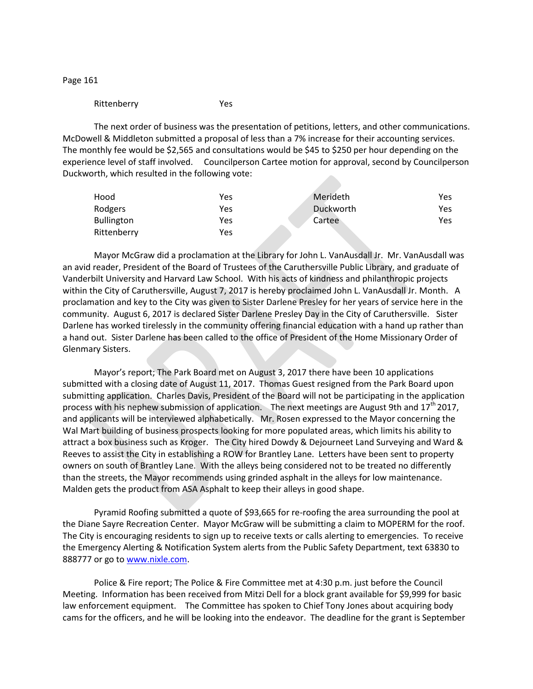Page 161

### Rittenberry Yes

The next order of business was the presentation of petitions, letters, and other communications. McDowell & Middleton submitted a proposal of less than a 7% increase for their accounting services. The monthly fee would be \$2,565 and consultations would be \$45 to \$250 per hour depending on the experience level of staff involved. Councilperson Cartee motion for approval, second by Councilperson Duckworth, which resulted in the following vote:

| Hood              | Yes | Merideth  | Yes |
|-------------------|-----|-----------|-----|
| Rodgers           | Yes | Duckworth | Yes |
| <b>Bullington</b> | Yes | Cartee    | Yes |
| Rittenberry       | Yes |           |     |

Mayor McGraw did a proclamation at the Library for John L. VanAusdall Jr. Mr. VanAusdall was an avid reader, President of the Board of Trustees of the Caruthersville Public Library, and graduate of Vanderbilt University and Harvard Law School. With his acts of kindness and philanthropic projects within the City of Caruthersville, August 7, 2017 is hereby proclaimed John L. VanAusdall Jr. Month. A proclamation and key to the City was given to Sister Darlene Presley for her years of service here in the community. August 6, 2017 is declared Sister Darlene Presley Day in the City of Caruthersville. Sister Darlene has worked tirelessly in the community offering financial education with a hand up rather than a hand out. Sister Darlene has been called to the office of President of the Home Missionary Order of Glenmary Sisters.

Mayor's report; The Park Board met on August 3, 2017 there have been 10 applications submitted with a closing date of August 11, 2017. Thomas Guest resigned from the Park Board upon submitting application. Charles Davis, President of the Board will not be participating in the application process with his nephew submission of application. The next meetings are August 9th and  $17<sup>th</sup>$  2017, and applicants will be interviewed alphabetically. Mr. Rosen expressed to the Mayor concerning the Wal Mart building of business prospects looking for more populated areas, which limits his ability to attract a box business such as Kroger. The City hired Dowdy & Dejourneet Land Surveying and Ward & Reeves to assist the City in establishing a ROW for Brantley Lane. Letters have been sent to property owners on south of Brantley Lane. With the alleys being considered not to be treated no differently than the streets, the Mayor recommends using grinded asphalt in the alleys for low maintenance. Malden gets the product from ASA Asphalt to keep their alleys in good shape.

Pyramid Roofing submitted a quote of \$93,665 for re-roofing the area surrounding the pool at the Diane Sayre Recreation Center. Mayor McGraw will be submitting a claim to MOPERM for the roof. The City is encouraging residents to sign up to receive texts or calls alerting to emergencies. To receive the Emergency Alerting & Notification System alerts from the Public Safety Department, text 63830 to 888777 or go t[o www.nixle.com.](http://www.nixle.com/)

Police & Fire report; The Police & Fire Committee met at 4:30 p.m. just before the Council Meeting. Information has been received from Mitzi Dell for a block grant available for \$9,999 for basic law enforcement equipment. The Committee has spoken to Chief Tony Jones about acquiring body cams for the officers, and he will be looking into the endeavor. The deadline for the grant is September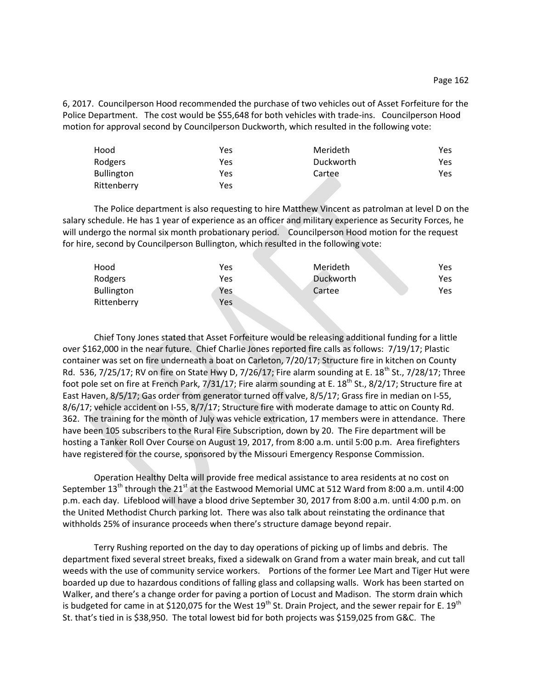6, 2017. Councilperson Hood recommended the purchase of two vehicles out of Asset Forfeiture for the Police Department. The cost would be \$55,648 for both vehicles with trade-ins. Councilperson Hood motion for approval second by Councilperson Duckworth, which resulted in the following vote:

| Hood              | Yes | Merideth  | Yes |
|-------------------|-----|-----------|-----|
| Rodgers           | Yes | Duckworth | Yes |
| <b>Bullington</b> | Yes | Cartee    | Yes |
| Rittenberry       | Yes |           |     |

The Police department is also requesting to hire Matthew Vincent as patrolman at level D on the salary schedule. He has 1 year of experience as an officer and military experience as Security Forces, he will undergo the normal six month probationary period. Councilperson Hood motion for the request for hire, second by Councilperson Bullington, which resulted in the following vote:

| Hood              | Yes | Merideth  | Yes. |
|-------------------|-----|-----------|------|
| Rodgers           | Yes | Duckworth | Yes  |
| <b>Bullington</b> | Yes | Cartee    | Yes  |
| Rittenberry       | Yes |           |      |

Chief Tony Jones stated that Asset Forfeiture would be releasing additional funding for a little over \$162,000 in the near future. Chief Charlie Jones reported fire calls as follows: 7/19/17; Plastic container was set on fire underneath a boat on Carleton, 7/20/17; Structure fire in kitchen on County Rd. 536, 7/25/17; RV on fire on State Hwy D, 7/26/17; Fire alarm sounding at E.  $18^{th}$  St., 7/28/17; Three foot pole set on fire at French Park,  $7/31/17$ ; Fire alarm sounding at E.  $18<sup>th</sup>$  St.,  $8/2/17$ ; Structure fire at East Haven, 8/5/17; Gas order from generator turned off valve, 8/5/17; Grass fire in median on I-55, 8/6/17; vehicle accident on I-55, 8/7/17; Structure fire with moderate damage to attic on County Rd. 362. The training for the month of July was vehicle extrication, 17 members were in attendance. There have been 105 subscribers to the Rural Fire Subscription, down by 20. The Fire department will be hosting a Tanker Roll Over Course on August 19, 2017, from 8:00 a.m. until 5:00 p.m. Area firefighters have registered for the course, sponsored by the Missouri Emergency Response Commission.

Operation Healthy Delta will provide free medical assistance to area residents at no cost on September 13<sup>th</sup> through the 21<sup>st</sup> at the Eastwood Memorial UMC at 512 Ward from 8:00 a.m. until 4:00 p.m. each day. Lifeblood will have a blood drive September 30, 2017 from 8:00 a.m. until 4:00 p.m. on the United Methodist Church parking lot. There was also talk about reinstating the ordinance that withholds 25% of insurance proceeds when there's structure damage beyond repair.

Terry Rushing reported on the day to day operations of picking up of limbs and debris. The department fixed several street breaks, fixed a sidewalk on Grand from a water main break, and cut tall weeds with the use of community service workers. Portions of the former Lee Mart and Tiger Hut were boarded up due to hazardous conditions of falling glass and collapsing walls. Work has been started on Walker, and there's a change order for paving a portion of Locust and Madison. The storm drain which is budgeted for came in at \$120,075 for the West 19<sup>th</sup> St. Drain Project, and the sewer repair for E. 19<sup>th</sup> St. that's tied in is \$38,950. The total lowest bid for both projects was \$159,025 from G&C. The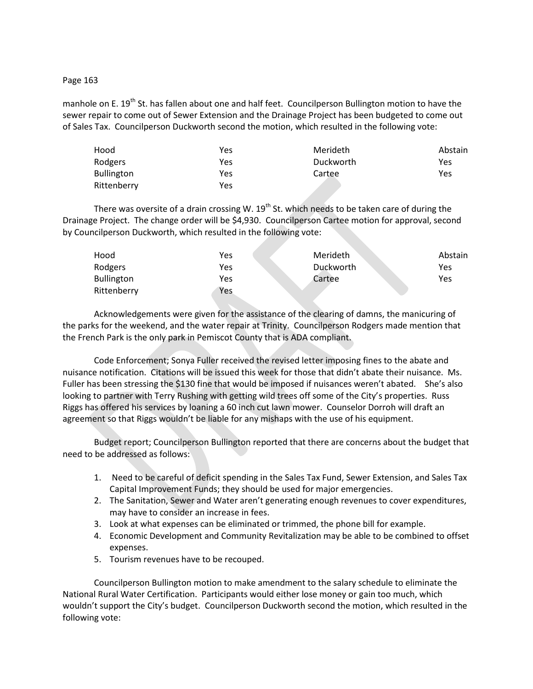# Page 163

manhole on E. 19<sup>th</sup> St. has fallen about one and half feet. Councilperson Bullington motion to have the sewer repair to come out of Sewer Extension and the Drainage Project has been budgeted to come out of Sales Tax. Councilperson Duckworth second the motion, which resulted in the following vote:

| Hood              | Yes | Merideth  | Abstain |
|-------------------|-----|-----------|---------|
| Rodgers           | Yes | Duckworth | Yes     |
| <b>Bullington</b> | Yes | Cartee    | Yes     |
| Rittenberry       | Yes |           |         |

There was oversite of a drain crossing W.  $19<sup>th</sup>$  St. which needs to be taken care of during the Drainage Project. The change order will be \$4,930. Councilperson Cartee motion for approval, second by Councilperson Duckworth, which resulted in the following vote:

| Hood              | Yes | Merideth  | Abstain |
|-------------------|-----|-----------|---------|
| Rodgers           | Yes | Duckworth | Yes     |
| <b>Bullington</b> | Yes | Cartee    | Yes     |
| Rittenberry       | Yes |           |         |

Acknowledgements were given for the assistance of the clearing of damns, the manicuring of the parks for the weekend, and the water repair at Trinity. Councilperson Rodgers made mention that the French Park is the only park in Pemiscot County that is ADA compliant.

Code Enforcement; Sonya Fuller received the revised letter imposing fines to the abate and nuisance notification. Citations will be issued this week for those that didn't abate their nuisance. Ms. Fuller has been stressing the \$130 fine that would be imposed if nuisances weren't abated. She's also looking to partner with Terry Rushing with getting wild trees off some of the City's properties. Russ Riggs has offered his services by loaning a 60 inch cut lawn mower. Counselor Dorroh will draft an agreement so that Riggs wouldn't be liable for any mishaps with the use of his equipment.

Budget report; Councilperson Bullington reported that there are concerns about the budget that need to be addressed as follows:

- 1. Need to be careful of deficit spending in the Sales Tax Fund, Sewer Extension, and Sales Tax Capital Improvement Funds; they should be used for major emergencies.
- 2. The Sanitation, Sewer and Water aren't generating enough revenues to cover expenditures, may have to consider an increase in fees.
- 3. Look at what expenses can be eliminated or trimmed, the phone bill for example.
- 4. Economic Development and Community Revitalization may be able to be combined to offset expenses.
- 5. Tourism revenues have to be recouped.

Councilperson Bullington motion to make amendment to the salary schedule to eliminate the National Rural Water Certification. Participants would either lose money or gain too much, which wouldn't support the City's budget. Councilperson Duckworth second the motion, which resulted in the following vote: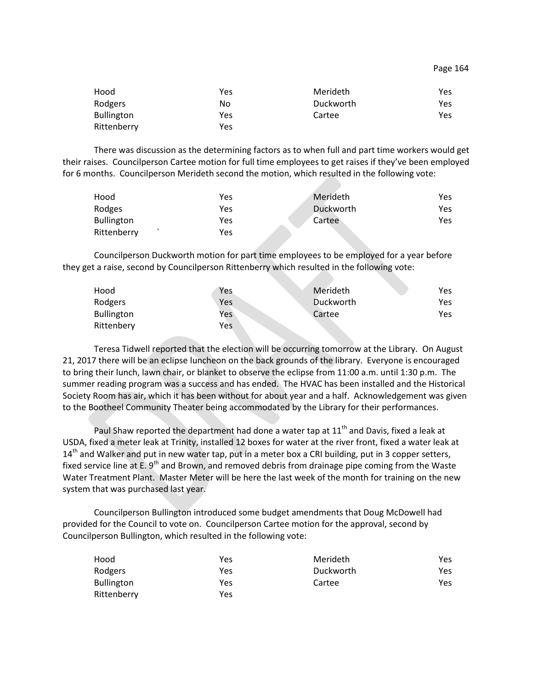| Hood              | Yes | Merideth  | Yes |
|-------------------|-----|-----------|-----|
| Rodgers           | No  | Duckworth | Yes |
| <b>Bullington</b> | Yes | Cartee    | Yes |
| Rittenberry       | Yes |           |     |

There was discussion as the determining factors as to when full and part time workers would get their raises. Councilperson Cartee motion for full time employees to get raises if they've been employed for 6 months. Councilperson Merideth second the motion, which resulted in the following vote:

| Hood              | Yes | Merideth  | Yes |
|-------------------|-----|-----------|-----|
| Rodges            | Yes | Duckworth | Yes |
| <b>Bullington</b> | Yes | Cartee    | Yes |
| Rittenberry       | Yes |           |     |

Councilperson Duckworth motion for part time employees to be employed for a year before they get a raise, second by Councilperson Rittenberry which resulted in the following vote:

| Hood              | Yes | Merideth  | Yes |
|-------------------|-----|-----------|-----|
| Rodgers           | Yes | Duckworth | Yes |
| <b>Bullington</b> | Yes | Cartee    | Yes |
| Rittenbery        | Yes |           |     |

Teresa Tidwell reported that the election will be occurring tomorrow at the Library. On August 21, 2017 there will be an eclipse luncheon on the back grounds of the library. Everyone is encouraged to bring their lunch, lawn chair, or blanket to observe the eclipse from 11:00 a.m. until 1:30 p.m. The summer reading program was a success and has ended. The HVAC has been installed and the Historical Society Room has air, which it has been without for about year and a half. Acknowledgement was given to the Bootheel Community Theater being accommodated by the Library for their performances.

Paul Shaw reported the department had done a water tap at  $11<sup>th</sup>$  and Davis, fixed a leak at USDA, fixed a meter leak at Trinity, installed 12 boxes for water at the river front, fixed a water leak at  $14<sup>th</sup>$  and Walker and put in new water tap, put in a meter box a CRI building, put in 3 copper setters, fixed service line at E.  $9<sup>th</sup>$  and Brown, and removed debris from drainage pipe coming from the Waste Water Treatment Plant. Master Meter will be here the last week of the month for training on the new system that was purchased last year.

Councilperson Bullington introduced some budget amendments that Doug McDowell had provided for the Council to vote on. Councilperson Cartee motion for the approval, second by Councilperson Bullington, which resulted in the following vote:

| Hood              | Yes | Merideth  | Yes |
|-------------------|-----|-----------|-----|
| Rodgers           | Yes | Duckworth | Yes |
| <b>Bullington</b> | Yes | Cartee    | Yes |
| Rittenberry       | Yes |           |     |